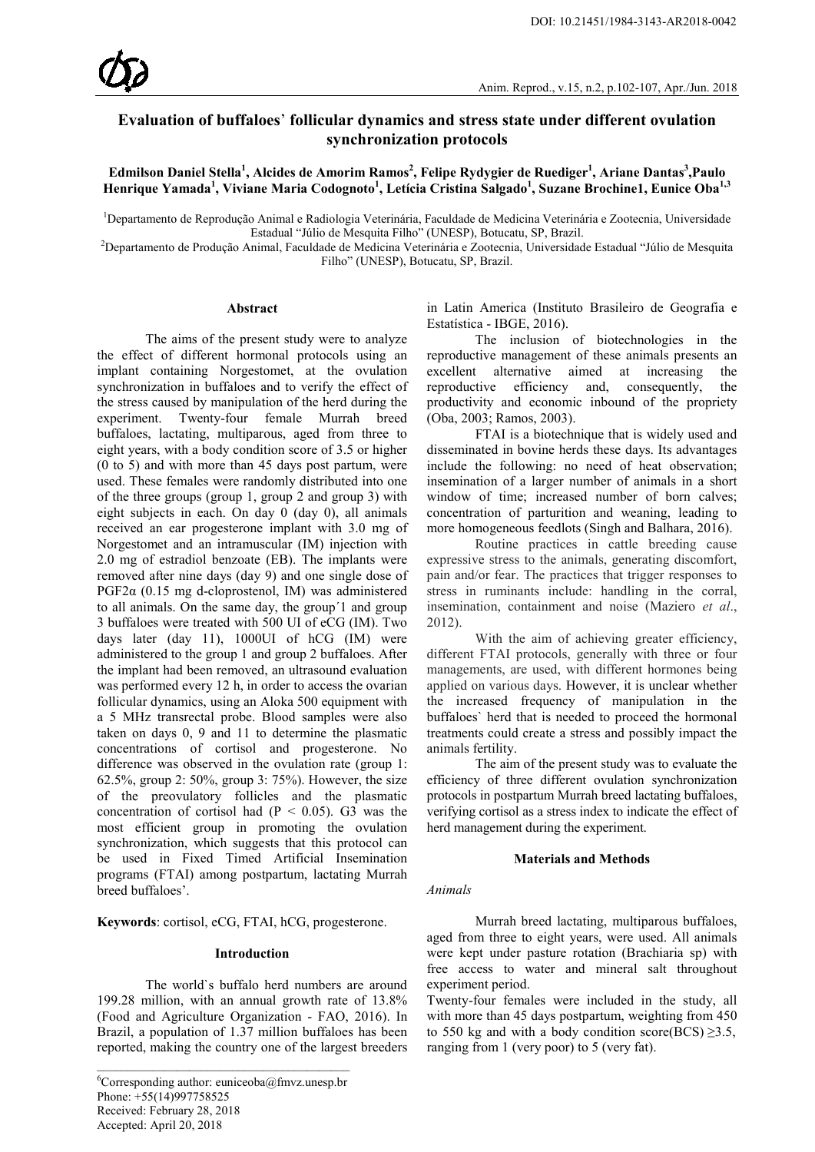# **Evaluation of buffaloes**' **follicular dynamics and stress state under different ovulation synchronization protocols**

**Edmilson Daniel Stella<sup>1</sup> , Alcides de Amorim Ramos2 , Felipe Rydygier de Ruediger<sup>1</sup> , Ariane Dantas3 ,Paulo Henrique Yamada<sup>1</sup> , Viviane Maria Codognoto<sup>1</sup> , Letícia Cristina Salgado<sup>1</sup> , Suzane Brochine1, Eunice Oba1,3**

<sup>1</sup>Departamento de Reprodução Animal e Radiologia Veterinária, Faculdade de Medicina Veterinária e Zootecnia, Universidade

Estadual "Júlio de Mesquita Filho" (UNESP), Botucatu, SP, Brazil.<br>2 Departamento de Produção Animal, Faculdade de Medicina Veterinária e Zootecnia, Universidade Estadual "Júlio de Mesquita" Filho" (UNESP), Botucatu, SP, Brazil.

# **Abstract**

The aims of the present study were to analyze the effect of different hormonal protocols using an implant containing Norgestomet, at the ovulation synchronization in buffaloes and to verify the effect of the stress caused by manipulation of the herd during the experiment. Twenty-four female Murrah breed buffaloes, lactating, multiparous, aged from three to eight years, with a body condition score of 3.5 or higher (0 to 5) and with more than 45 days post partum, were used. These females were randomly distributed into one of the three groups (group 1, group 2 and group 3) with eight subjects in each. On day 0 (day 0), all animals received an ear progesterone implant with 3.0 mg of Norgestomet and an intramuscular (IM) injection with 2.0 mg of estradiol benzoate (EB). The implants were removed after nine days (day 9) and one single dose of PGF2α (0.15 mg d-cloprostenol, IM) was administered to all animals. On the same day, the group´1 and group 3 buffaloes were treated with 500 UI of eCG (IM). Two days later (day 11), 1000UI of hCG (IM) were administered to the group 1 and group 2 buffaloes. After the implant had been removed, an ultrasound evaluation was performed every 12 h, in order to access the ovarian follicular dynamics, using an Aloka 500 equipment with a 5 MHz transrectal probe. Blood samples were also taken on days 0, 9 and 11 to determine the plasmatic concentrations of cortisol and progesterone. No difference was observed in the ovulation rate (group 1: 62.5%, group 2: 50%, group 3: 75%). However, the size of the preovulatory follicles and the plasmatic concentration of cortisol had  $(P < 0.05)$ . G3 was the most efficient group in promoting the ovulation synchronization, which suggests that this protocol can be used in Fixed Timed Artificial Insemination programs (FTAI) among postpartum, lactating Murrah breed buffaloes'.

**Keywords**: cortisol, eCG, FTAI, hCG, progesterone.

## **Introduction**

The world`s buffalo herd numbers are around 199.28 million, with an annual growth rate of 13.8% (Food and Agriculture Organization - FAO, 2016). In Brazil, a population of 1.37 million buffaloes has been reported, making the country one of the largest breeders

in Latin America (Instituto Brasileiro de Geografia e Estatística - IBGE, 2016).

The inclusion of biotechnologies in the reproductive management of these animals presents an excellent alternative aimed at increasing the reproductive efficiency and, consequently, the productivity and economic inbound of the propriety (Oba, 2003; Ramos, 2003).

FTAI is a biotechnique that is widely used and disseminated in bovine herds these days. Its advantages include the following: no need of heat observation; insemination of a larger number of animals in a short window of time; increased number of born calves; concentration of parturition and weaning, leading to more homogeneous feedlots (Singh and Balhara, 2016).

Routine practices in cattle breeding cause expressive stress to the animals, generating discomfort, pain and/or fear. The practices that trigger responses to stress in ruminants include: handling in the corral, insemination, containment and noise (Maziero *et al*., 2012).

With the aim of achieving greater efficiency, different FTAI protocols, generally with three or four managements, are used, with different hormones being applied on various days. However, it is unclear whether the increased frequency of manipulation in the buffaloes` herd that is needed to proceed the hormonal treatments could create a stress and possibly impact the animals fertility.

The aim of the present study was to evaluate the efficiency of three different ovulation synchronization protocols in postpartum Murrah breed lactating buffaloes, verifying cortisol as a stress index to indicate the effect of herd management during the experiment.

#### **Materials and Methods**

#### *Animals*

Murrah breed lactating, multiparous buffaloes, aged from three to eight years, were used. All animals were kept under pasture rotation (Brachiaria sp) with free access to water and mineral salt throughout experiment period.

Twenty-four females were included in the study, all with more than 45 days postpartum, weighting from 450 to 550 kg and with a body condition score(BCS)  $\geq$ 3.5, ranging from 1 (very poor) to 5 (very fat).

<sup>6</sup> Corresponding author: euniceoba@fmvz.unesp.br Phone: +55(14)997758525 Received: February 28, 2018 Accepted: April 20, 2018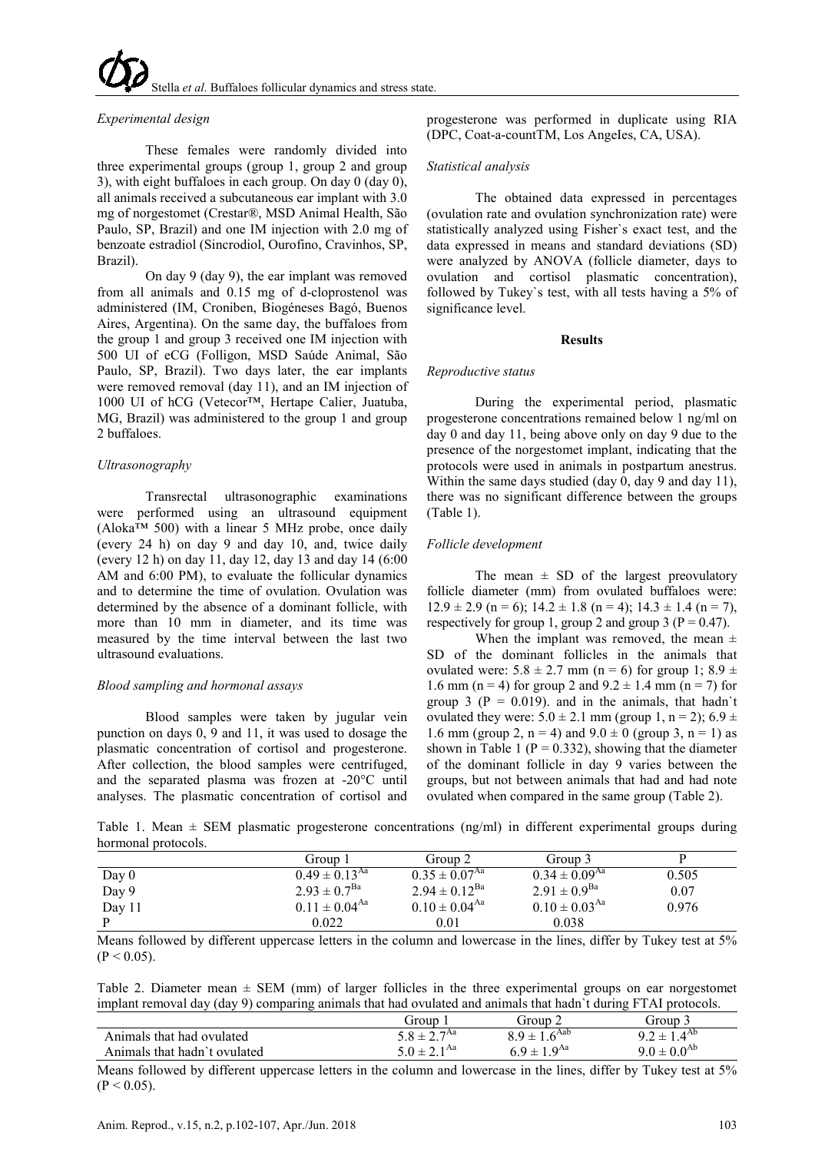tella *et al*. Buffaloes follicular dynamics and stress state

#### *Experimental design*

These females were randomly divided into three experimental groups (group 1, group 2 and group 3), with eight buffaloes in each group. On day 0 (day 0), all animals received a subcutaneous ear implant with 3.0 mg of norgestomet (Crestar®, MSD Animal Health, São Paulo, SP, Brazil) and one IM injection with 2.0 mg of benzoate estradiol (Sincrodiol, Ourofino, Cravinhos, SP, Brazil).

On day 9 (day 9), the ear implant was removed from all animals and 0.15 mg of d-cloprostenol was administered (IM, Croniben, Biogéneses Bagó, Buenos Aires, Argentina). On the same day, the buffaloes from the group 1 and group 3 received one IM injection with 500 UI of eCG (Folligon, MSD Saúde Animal, São Paulo, SP, Brazil). Two days later, the ear implants were removed removal (day 11), and an IM injection of 1000 UI of hCG (Vetecor™, Hertape Calier, Juatuba, MG, Brazil) was administered to the group 1 and group 2 buffaloes.

# *Ultrasonography*

Transrectal ultrasonographic examinations were performed using an ultrasound equipment (Aloka™ 500) with a linear 5 MHz probe, once daily (every 24 h) on day 9 and day 10, and, twice daily (every 12 h) on day 11, day 12, day 13 and day 14 (6:00 AM and 6:00 PM), to evaluate the follicular dynamics and to determine the time of ovulation. Ovulation was determined by the absence of a dominant follicle, with more than 10 mm in diameter, and its time was measured by the time interval between the last two ultrasound evaluations.

#### *Blood sampling and hormonal assays*

Blood samples were taken by jugular vein punction on days 0, 9 and 11, it was used to dosage the plasmatic concentration of cortisol and progesterone. After collection, the blood samples were centrifuged, and the separated plasma was frozen at -20°C until analyses. The plasmatic concentration of cortisol and progesterone was performed in duplicate using RIA (DPC, Coat-a-countTM, Los AngeIes, CA, USA).

#### *Statistical analysis*

The obtained data expressed in percentages (ovulation rate and ovulation synchronization rate) were statistically analyzed using Fisher`s exact test, and the data expressed in means and standard deviations (SD) were analyzed by ANOVA (follicle diameter, days to ovulation and cortisol plasmatic concentration), followed by Tukey`s test, with all tests having a 5% of significance level.

#### **Results**

#### *Reproductive status*

During the experimental period, plasmatic progesterone concentrations remained below 1 ng/ml on day 0 and day 11, being above only on day 9 due to the presence of the norgestomet implant, indicating that the protocols were used in animals in postpartum anestrus. Within the same days studied (day 0, day 9 and day 11), there was no significant difference between the groups (Table 1).

#### *Follicle development*

The mean  $\pm$  SD of the largest preovulatory follicle diameter (mm) from ovulated buffaloes were:  $12.9 \pm 2.9$  (n = 6);  $14.2 \pm 1.8$  (n = 4);  $14.3 \pm 1.4$  (n = 7), respectively for group 1, group 2 and group 3 ( $P = 0.47$ ).

When the implant was removed, the mean  $\pm$ SD of the dominant follicles in the animals that ovulated were:  $5.8 \pm 2.7$  mm (n = 6) for group 1;  $8.9 \pm$ 1.6 mm (n = 4) for group 2 and  $9.2 \pm 1.4$  mm (n = 7) for group 3 ( $P = 0.019$ ). and in the animals, that hadn't ovulated they were:  $5.0 \pm 2.1$  mm (group 1, n = 2);  $6.9 \pm$ 1.6 mm (group 2,  $n = 4$ ) and  $9.0 \pm 0$  (group 3,  $n = 1$ ) as shown in Table 1 ( $P = 0.332$ ), showing that the diameter of the dominant follicle in day 9 varies between the groups, but not between animals that had and had note ovulated when compared in the same group (Table 2).

Table 1. Mean  $\pm$  SEM plasmatic progesterone concentrations (ng/ml) in different experimental groups during hormonal protocols.

|          | Group 1                       | Group 2                       | Group 3                       |       |
|----------|-------------------------------|-------------------------------|-------------------------------|-------|
| Day $0$  | $0.49 \pm 0.13^{\text{Aa}}$   | $0.35 \pm 0.07^{Aa}$          | $0.34 \pm 0.09$ <sup>Aa</sup> | 0.505 |
| Day 9    | $2.93 \pm 0.7^{\text{Ba}}$    | $2.94 \pm 0.12^{Ba}$          | $2.91 \pm 0.9^{\text{Ba}}$    | 0.07  |
| Day $11$ | $0.11 \pm 0.04$ <sup>Aa</sup> | $0.10 \pm 0.04$ <sup>Aa</sup> | $0.10 \pm 0.03$ <sup>Aa</sup> | 0.976 |
|          | 0.022                         | 0.01                          | 0.038                         |       |

Means followed by different uppercase letters in the column and lowercase in the lines, differ by Tukey test at 5%  $(P < 0.05)$ .

Table 2. Diameter mean  $\pm$  SEM (mm) of larger follicles in the three experimental groups on ear norgestomet implant removal day (day 9) comparing animals that had ovulated and animals that hadn`t during FTAI protocols.

| .                            | TVIIIDVIIILE VIIIIIIVID VIIVV IIVV IVVV V LVIVTTTV VIIVTI VIIIIIIVID VIIVTU IIVVTII V VIVIIIIE A AAAA DAVTVTUT |                     |                       |
|------------------------------|----------------------------------------------------------------------------------------------------------------|---------------------|-----------------------|
|                              | diroup                                                                                                         | .iroun :            | iroup                 |
| Animals that had ovulated    | $\neg$ Aa<br>$3.8 \pm 2^{\degree}$                                                                             | 64ab<br>$\alpha +$  | $4.4^{A0}$<br>$9.7 +$ |
| Animals that hadn't ovulated | $0 \pm 2.1^{Aa}$                                                                                               | 1 $Q^{Aa}$<br>$Q +$ | 0.08b                 |

Means followed by different uppercase letters in the column and lowercase in the lines, differ by Tukey test at 5%  $(P < 0.05)$ .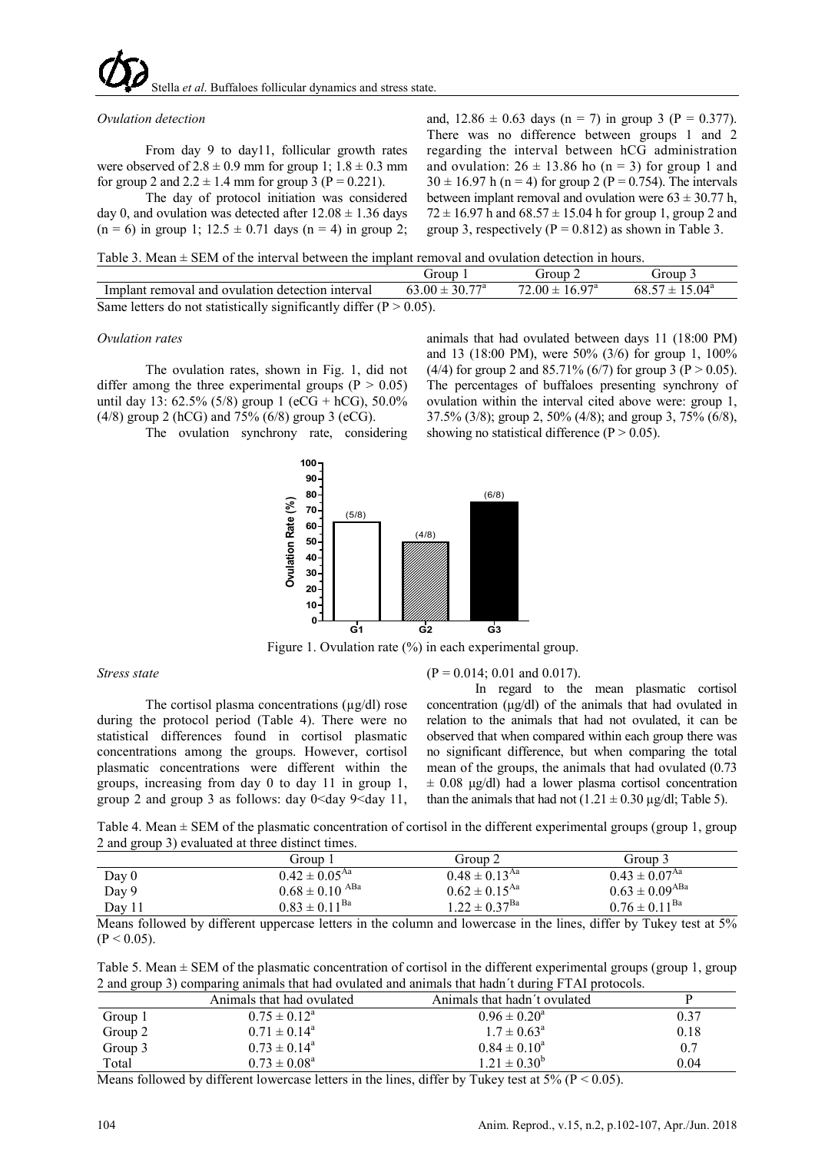tella et al. Buffaloes follicular dynamics and stress state

## *Ovulation detection*

From day 9 to day11, follicular growth rates were observed of  $2.8 \pm 0.9$  mm for group 1;  $1.8 \pm 0.3$  mm for group 2 and  $2.2 \pm 1.4$  mm for group 3 (P = 0.221).

The day of protocol initiation was considered day 0, and ovulation was detected after  $12.08 \pm 1.36$  days  $(n = 6)$  in group 1;  $12.5 \pm 0.71$  days  $(n = 4)$  in group 2;

and,  $12.86 \pm 0.63$  days (n = 7) in group 3 (P = 0.377). There was no difference between groups 1 and 2 regarding the interval between hCG administration and ovulation:  $26 \pm 13.86$  ho (n = 3) for group 1 and  $30 \pm 16.97$  h (n = 4) for group 2 (P = 0.754). The intervals between implant removal and ovulation were  $63 \pm 30.77$  h,  $72 \pm 16.97$  h and  $68.57 \pm 15.04$  h for group 1, group 2 and group 3, respectively ( $P = 0.812$ ) as shown in Table 3.

Table 3. Mean  $\pm$  SEM of the interval between the implant removal and ovulation detection in hours.

|                                                                        | Group                     | $^{\prime}$ iroun $2$     | Group 3                   |
|------------------------------------------------------------------------|---------------------------|---------------------------|---------------------------|
| Implant removal and ovulation detection interval                       | $63.00 \pm 30.77^{\circ}$ | $72.00 \pm 16.97^{\circ}$ | $68.57 \pm 15.04^{\circ}$ |
| Same letters do not statistically significantly differ ( $P > 0.05$ ). |                           |                           |                           |

# *Ovulation rates*

The ovulation rates, shown in Fig. 1, did not differ among the three experimental groups ( $P > 0.05$ ) until day 13: 62.5% (5/8) group 1 (eCG + hCG), 50.0% (4/8) group 2 (hCG) and 75% (6/8) group 3 (eCG).

The ovulation synchrony rate, considering

and 13 (18:00 PM), were 50% (3/6) for group 1, 100% (4/4) for group 2 and 85.71% (6/7) for group 3 (P  $> 0.05$ ). The percentages of buffaloes presenting synchrony of ovulation within the interval cited above were: group 1, 37.5% (3/8); group 2, 50% (4/8); and group 3, 75% (6/8), showing no statistical difference ( $P > 0.05$ ).

animals that had ovulated between days 11 (18:00 PM)



Figure 1. Ovulation rate (%) in each experimental group.

*Stress state*

The cortisol plasma concentrations  $(\mu g/dl)$  rose during the protocol period (Table 4). There were no statistical differences found in cortisol plasmatic concentrations among the groups. However, cortisol plasmatic concentrations were different within the groups, increasing from day 0 to day 11 in group 1, group 2 and group 3 as follows: day  $0$  <day 9 <day 11,

# $(P = 0.014; 0.01$  and  $0.017$ ).

In regard to the mean plasmatic cortisol concentration (μg/dl) of the animals that had ovulated in relation to the animals that had not ovulated, it can be observed that when compared within each group there was no significant difference, but when comparing the total mean of the groups, the animals that had ovulated (0.73  $\pm$  0.08 μg/dl) had a lower plasma cortisol concentration than the animals that had not  $(1.21 \pm 0.30 \,\mu\text{g/dl})$ ; Table 5).

Table 4. Mean  $\pm$  SEM of the plasmatic concentration of cortisol in the different experimental groups (group 1, group 2 and group 3) evaluated at three distinct times.

|        | Group 1                     | Group 2                       | Group 3                     |
|--------|-----------------------------|-------------------------------|-----------------------------|
| Day 0  | $0.42 \pm 0.05^{\text{Aa}}$ | $0.48 \pm 0.13$ <sup>Aa</sup> | $0.43 \pm 0.07^{Aa}$        |
| Day 9  | $0.68 \pm 0.10$ ABa         | $0.62 \pm 0.15^{\text{Aa}}$   | $0.63 \pm 0.09^{ABa}$       |
| Day 11 | $0.83 \pm 0.11^{\text{Ba}}$ | $1.22 \pm 0.37^{\text{Ba}}$   | $0.76 \pm 0.11^{\text{Ba}}$ |

Means followed by different uppercase letters in the column and lowercase in the lines, differ by Tukey test at 5%  $(P < 0.05)$ .

Table 5. Mean  $\pm$  SEM of the plasmatic concentration of cortisol in the different experimental groups (group 1, group 2 and group 3) comparing animals that had ovulated and animals that hadn´t during FTAI protocols.

| $\overline{\phantom{0}}$ |                           |                              |      |  |
|--------------------------|---------------------------|------------------------------|------|--|
|                          | Animals that had ovulated | Animals that hadn't ovulated |      |  |
| Group 1                  | $0.75 \pm 0.12^{\circ}$   | $0.96 \pm 0.20^{\circ}$      | 0.37 |  |
| Group 2                  | $0.71 \pm 0.14^{\circ}$   | $1.7 \pm 0.63^{\circ}$       | 0.18 |  |
| Group 3                  | $0.73 \pm 0.14^{\circ}$   | $0.84 \pm 0.10^a$            | 0.7  |  |
| Total                    | $0.73 \pm 0.08^{\circ}$   | $1.21 \pm 0.30^b$            | 0.04 |  |
|                          |                           |                              |      |  |

Means followed by different lowercase letters in the lines, differ by Tukey test at 5% ( $P < 0.05$ ).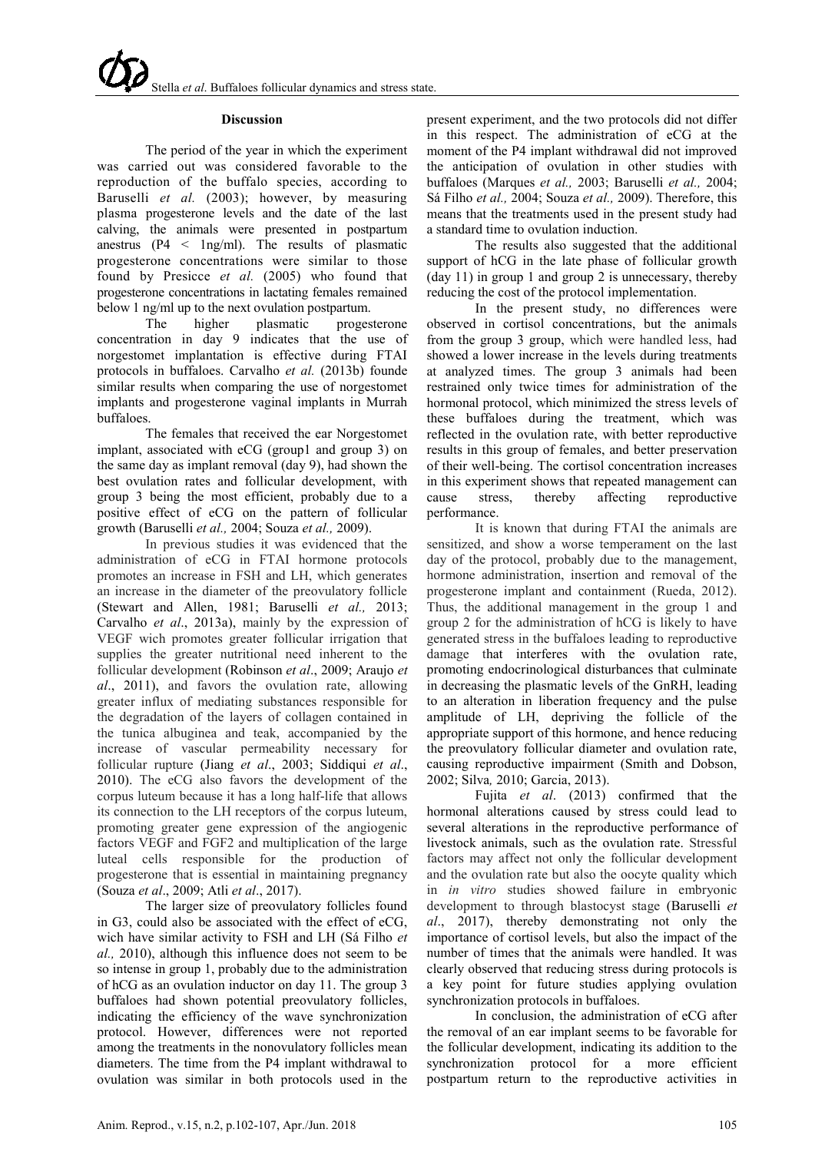#### **Discussion**

The period of the year in which the experiment was carried out was considered favorable to the reproduction of the buffalo species, according to Baruselli *et al.* (2003); however, by measuring plasma progesterone levels and the date of the last calving, the animals were presented in postpartum anestrus ( $P4 \leq \ln(\text{m})$ ). The results of plasmatic progesterone concentrations were similar to those found by Presicce *et al.* (2005) who found that progesterone concentrations in lactating females remained

below 1 ng/ml up to the next ovulation postpartum.<br>The higher plasmatic proges The higher plasmatic progesterone concentration in day 9 indicates that the use of norgestomet implantation is effective during FTAI protocols in buffaloes. Carvalho *et al.* (2013b) founde similar results when comparing the use of norgestomet implants and progesterone vaginal implants in Murrah buffaloes.

The females that received the ear Norgestomet implant, associated with eCG (group1 and group 3) on the same day as implant removal (day 9), had shown the best ovulation rates and follicular development, with group 3 being the most efficient, probably due to a positive effect of eCG on the pattern of follicular growth (Baruselli *et al.,* 2004; Souza *et al.,* 2009).

In previous studies it was evidenced that the administration of eCG in FTAI hormone protocols promotes an increase in FSH and LH, which generates an increase in the diameter of the preovulatory follicle (Stewart and Allen, 1981; Baruselli *et al.,* 2013; Carvalho *et al*., 2013a), mainly by the expression of VEGF wich promotes greater follicular irrigation that supplies the greater nutritional need inherent to the follicular development (Robinson *et al*., 2009; Araujo *et al*., 2011), and favors the ovulation rate, allowing greater influx of mediating substances responsible for the degradation of the layers of collagen contained in the tunica albuginea and teak, accompanied by the increase of vascular permeability necessary for follicular rupture (Jiang *et al*., 2003; Siddiqui *et al*., 2010). The eCG also favors the development of the corpus luteum because it has a long half-life that allows its connection to the LH receptors of the corpus luteum, promoting greater gene expression of the angiogenic factors VEGF and FGF2 and multiplication of the large luteal cells responsible for the production of progesterone that is essential in maintaining pregnancy (Souza *et al*., 2009; Atli *et al*., 2017).

The larger size of preovulatory follicles found in G3, could also be associated with the effect of eCG, wich have similar activity to FSH and LH (Sá Filho *et al.,* 2010), although this influence does not seem to be so intense in group 1, probably due to the administration of hCG as an ovulation inductor on day 11. The group 3 buffaloes had shown potential preovulatory follicles, indicating the efficiency of the wave synchronization protocol. However, differences were not reported among the treatments in the nonovulatory follicles mean diameters. The time from the P4 implant withdrawal to ovulation was similar in both protocols used in the

present experiment, and the two protocols did not differ in this respect. The administration of eCG at the moment of the P4 implant withdrawal did not improved the anticipation of ovulation in other studies with buffaloes (Marques *et al.,* 2003; Baruselli *et al.,* 2004; Sá Filho *et al.,* 2004; Souza *et al.,* 2009). Therefore, this means that the treatments used in the present study had a standard time to ovulation induction.

The results also suggested that the additional support of hCG in the late phase of follicular growth (day 11) in group 1 and group 2 is unnecessary, thereby reducing the cost of the protocol implementation.

In the present study, no differences were observed in cortisol concentrations, but the animals from the group 3 group, which were handled less, had showed a lower increase in the levels during treatments at analyzed times. The group 3 animals had been restrained only twice times for administration of the hormonal protocol, which minimized the stress levels of these buffaloes during the treatment, which was reflected in the ovulation rate, with better reproductive results in this group of females, and better preservation of their well-being. The cortisol concentration increases in this experiment shows that repeated management can cause stress, thereby affecting reproductive performance.

It is known that during FTAI the animals are sensitized, and show a worse temperament on the last day of the protocol, probably due to the management, hormone administration, insertion and removal of the progesterone implant and containment (Rueda, 2012). Thus, the additional management in the group 1 and group 2 for the administration of hCG is likely to have generated stress in the buffaloes leading to reproductive damage that interferes with the ovulation rate, promoting endocrinological disturbances that culminate in decreasing the plasmatic levels of the GnRH, leading to an alteration in liberation frequency and the pulse amplitude of LH, depriving the follicle of the appropriate support of this hormone, and hence reducing the preovulatory follicular diameter and ovulation rate, causing reproductive impairment (Smith and Dobson, 2002; Silva*,* 2010; Garcia, 2013).

Fujita *et al*. (2013) confirmed that the hormonal alterations caused by stress could lead to several alterations in the reproductive performance of livestock animals, such as the ovulation rate. Stressful factors may affect not only the follicular development and the ovulation rate but also the oocyte quality which in *in vitro* studies showed failure in embryonic development to through blastocyst stage (Baruselli *et al*., 2017), thereby demonstrating not only the importance of cortisol levels, but also the impact of the number of times that the animals were handled. It was clearly observed that reducing stress during protocols is a key point for future studies applying ovulation synchronization protocols in buffaloes.

In conclusion, the administration of eCG after the removal of an ear implant seems to be favorable for the follicular development, indicating its addition to the synchronization protocol for a more efficient postpartum return to the reproductive activities in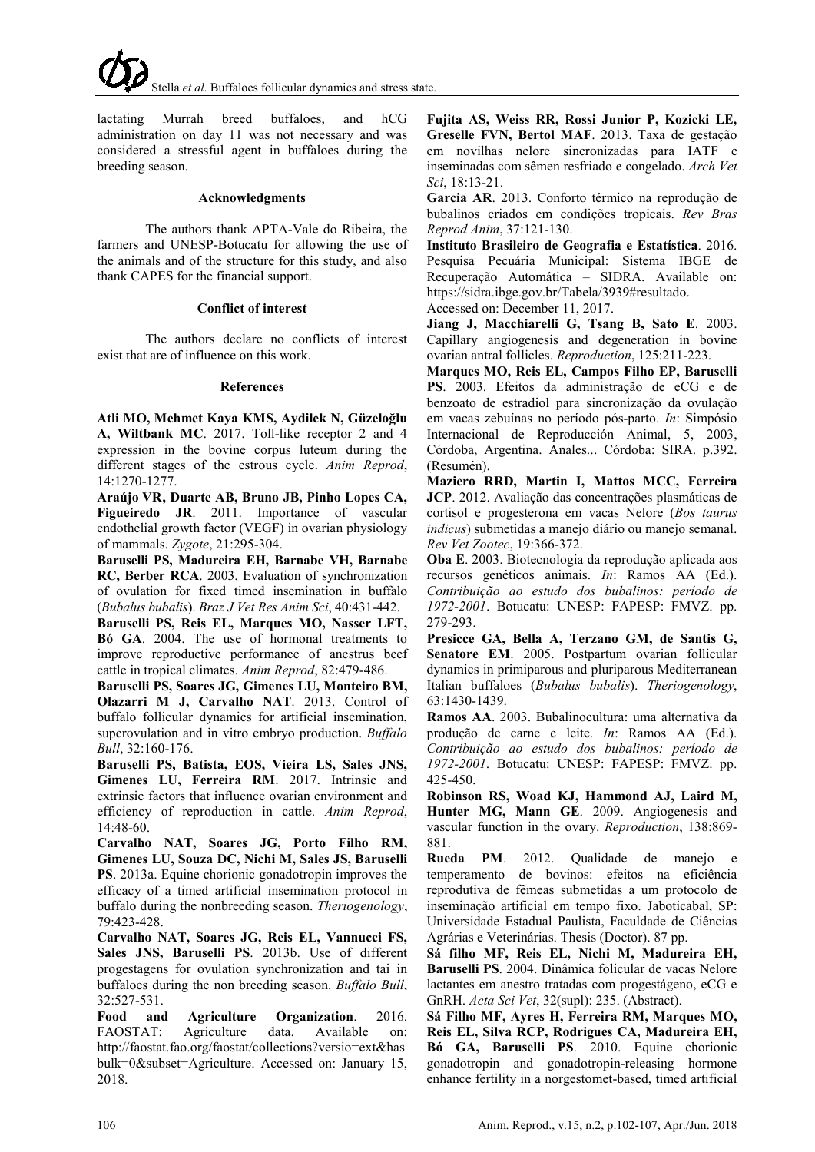lactating Murrah breed buffaloes, and hCG administration on day 11 was not necessary and was considered a stressful agent in buffaloes during the breeding season.

# **Acknowledgments**

The authors thank APTA-Vale do Ribeira, the farmers and UNESP-Botucatu for allowing the use of the animals and of the structure for this study, and also thank CAPES for the financial support.

# **Conflict of interest**

The authors declare no conflicts of interest exist that are of influence on this work.

# **References**

**Atli MO, Mehmet Kaya KMS, Aydilek N, Güzeloğlu A, Wiltbank MC**. 2017. Toll-like receptor 2 and 4 expression in the bovine corpus luteum during the different stages of the estrous cycle. *Anim Reprod*, 14:1270-1277.

**Araújo VR, Duarte AB, Bruno JB, Pinho Lopes CA, Figueiredo JR**. 2011. Importance of vascular endothelial growth factor (VEGF) in ovarian physiology of mammals. *Zygote*, 21:295-304.

**Baruselli PS, Madureira EH, Barnabe VH, Barnabe RC, Berber RCA**. 2003. Evaluation of synchronization of ovulation for fixed timed insemination in buffalo (*Bubalus bubalis*). *Braz J Vet Res Anim Sci*, 40:431-442.

**Baruselli PS, Reis EL, Marques MO, Nasser LFT, Bó GA**. 2004. The use of hormonal treatments to improve reproductive performance of anestrus beef cattle in tropical climates. *Anim Reprod*, 82:479-486.

**Baruselli PS, Soares JG, Gimenes LU, Monteiro BM, Olazarri M J, Carvalho NAT**. 2013. Control of buffalo follicular dynamics for artificial insemination, superovulation and in vitro embryo production. *Buffalo Bull*, 32:160-176.

**Baruselli PS, Batista, EOS, Vieira LS, Sales JNS, Gimenes LU, Ferreira RM**. 2017. Intrinsic and extrinsic factors that influence ovarian environment and efficiency of reproduction in cattle. *Anim Reprod*, 14:48-60.

**Carvalho NAT, Soares JG, Porto Filho RM, Gimenes LU, Souza DC, Nichi M, Sales JS, Baruselli PS**. 2013a. Equine chorionic gonadotropin improves the efficacy of a timed artificial insemination protocol in buffalo during the nonbreeding season. *Theriogenology*, 79:423-428.

**Carvalho NAT, Soares JG, Reis EL, Vannucci FS, Sales JNS, Baruselli PS**. 2013b. Use of different progestagens for ovulation synchronization and tai in buffaloes during the non breeding season. *Buffalo Bull*, 32:527-531.

**Food and Agriculture Organization**. 2016. FAOSTAT: Agriculture data. Available on: http://faostat.fao.org/faostat/collections?versio=ext&has bulk=0&subset=Agriculture. Accessed on: January 15, 2018.

**Fujita AS, Weiss RR, Rossi Junior P, Kozicki LE, Greselle FVN, Bertol MAF**. 2013. Taxa de gestação em novilhas nelore sincronizadas para IATF e inseminadas com sêmen resfriado e congelado. *Arch Vet Sci*, 18:13-21.

**Garcia AR**. 2013. Conforto térmico na reprodução de bubalinos criados em condições tropicais. *Rev Bras Reprod Anim*, 37:121-130.

**Instituto Brasileiro de Geografia e Estatística**. 2016. Pesquisa Pecuária Municipal: Sistema IBGE de Recuperação Automática – SIDRA. Available on: https://sidra.ibge.gov.br/Tabela/3939#resultado.

Accessed on: December 11, 2017.

**Jiang J, Macchiarelli G, Tsang B, Sato E**. 2003. Capillary angiogenesis and degeneration in bovine ovarian antral follicles. *Reproduction*, 125:211-223.

**Marques MO, Reis EL, Campos Filho EP, Baruselli PS**. 2003. Efeitos da administração de eCG e de benzoato de estradiol para sincronização da ovulação em vacas zebuínas no período pós-parto. *In*: Simpósio Internacional de Reproducción Animal, 5, 2003, Córdoba, Argentina. Anales... Córdoba: SIRA. p.392. (Resumén).

**Maziero RRD, Martin I, Mattos MCC, Ferreira JCP**. 2012. Avaliação das concentrações plasmáticas de cortisol e progesterona em vacas Nelore (*Bos taurus indicus*) submetidas a manejo diário ou manejo semanal. *Rev Vet Zootec*, 19:366-372.

**Oba E**. 2003. Biotecnologia da reprodução aplicada aos recursos genéticos animais. *In*: Ramos AA (Ed.). *Contribuição ao estudo dos bubalinos: período de 1972-2001*. Botucatu: UNESP: FAPESP: FMVZ. pp. 279-293.

**Presicce GA, Bella A, Terzano GM, de Santis G, Senatore EM**. 2005. Postpartum ovarian follicular dynamics in primiparous and pluriparous Mediterranean Italian buffaloes (*Bubalus bubalis*). *Theriogenology*, 63:1430-1439.

**Ramos AA**. 2003. Bubalinocultura: uma alternativa da produção de carne e leite. *In*: Ramos AA (Ed.). *Contribuição ao estudo dos bubalinos: período de 1972-2001*. Botucatu: UNESP: FAPESP: FMVZ. pp. 425-450.

**Robinson RS, Woad KJ, Hammond AJ, Laird M, Hunter MG, Mann GE**. 2009. Angiogenesis and vascular function in the ovary. *Reproduction*, 138:869- 881.

**Rueda PM**. 2012. Qualidade de manejo e temperamento de bovinos: efeitos na eficiência reprodutiva de fêmeas submetidas a um protocolo de inseminação artificial em tempo fixo. Jaboticabal, SP: Universidade Estadual Paulista, Faculdade de Ciências Agrárias e Veterinárias. Thesis (Doctor). 87 pp.

**Sá filho MF, Reis EL, Nichi M, Madureira EH, Baruselli PS**. 2004. Dinâmica folicular de vacas Nelore lactantes em anestro tratadas com progestágeno, eCG e GnRH. *Acta Sci Vet*, 32(supl): 235. (Abstract).

**Sá Filho MF, Ayres H, Ferreira RM, Marques MO, Reis EL, Silva RCP, Rodrigues CA, Madureira EH, Bó GA, Baruselli PS**. 2010. Equine chorionic gonadotropin and gonadotropin-releasing hormone enhance fertility in a norgestomet-based, timed artificial